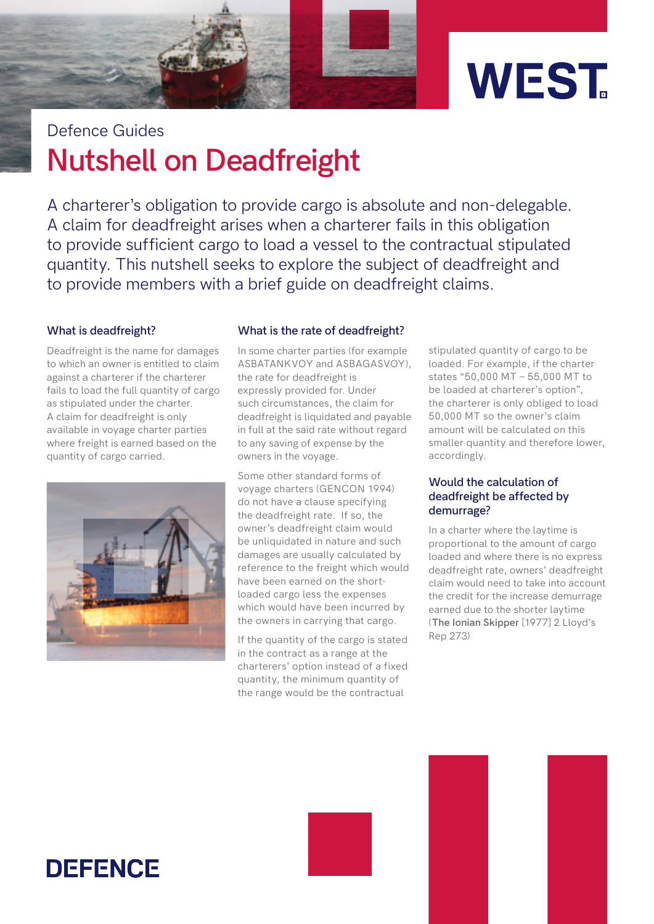



# **Nutshell on Deadfreight** Defence Guides

A charterer's obligation to provide cargo is absolute and non-delegable. A claim for deadfreight arises when a charterer fails in this obligation to provide sufficient cargo to load a vessel to the contractual stipulated quantity. This nutshell seeks to explore the subject of deadfreight and to provide members with a brief guide on deadfreight claims.

## **What is deadfreight?**

Deadfreight is the name for damages to which an owner is entitled to claim against a charterer if the charterer fails to load the full quantity of cargo as stipulated under the charter. A claim for deadfreight is only available in voyage charter parties where freight is earned based on the quantity of cargo carried.



## **What is the rate of deadfreight?**

In some charter parties (for example ASBATANKVOY and ASBAGASVOY), the rate for deadfreight is expressly provided for. Under such circumstances, the claim for deadfreight is liquidated and payable in full at the said rate without regard to any saving of expense by the owners in the voyage.

Some other standard forms of voyage charters (GENCON 1994) do not have a clause specifying the deadfreight rate. If so, the owner's deadfreight claim would be unliquidated in nature and such damages are usually calculated by reference to the freight which would have been earned on the shortloaded cargo less the expenses which would have been incurred by the owners in carrying that cargo.

If the quantity of the cargo is stated in the contract as a range at the charterers' option instead of a fixed quantity, the minimum quantity of the range would be the contractual

stipulated quantity of cargo to be loaded. For example, if the charter states "50,000 MT – 55,000 MT to be loaded at charterer's option", the charterer is only obliged to load 50,000 MT so the owner's claim amount will be calculated on this smaller quantity and therefore lower, accordingly.

## **Would the calculation of deadfreight be affected by demurrage?**

In a charter where the laytime is proportional to the amount of cargo loaded and where there is no express deadfreight rate, owners' deadfreight claim would need to take into account the credit for the increase demurrage earned due to the shorter laytime (**The Ionian Skipper** [1977] 2 Lloyd's Rep 273)

## **DEFENCE**